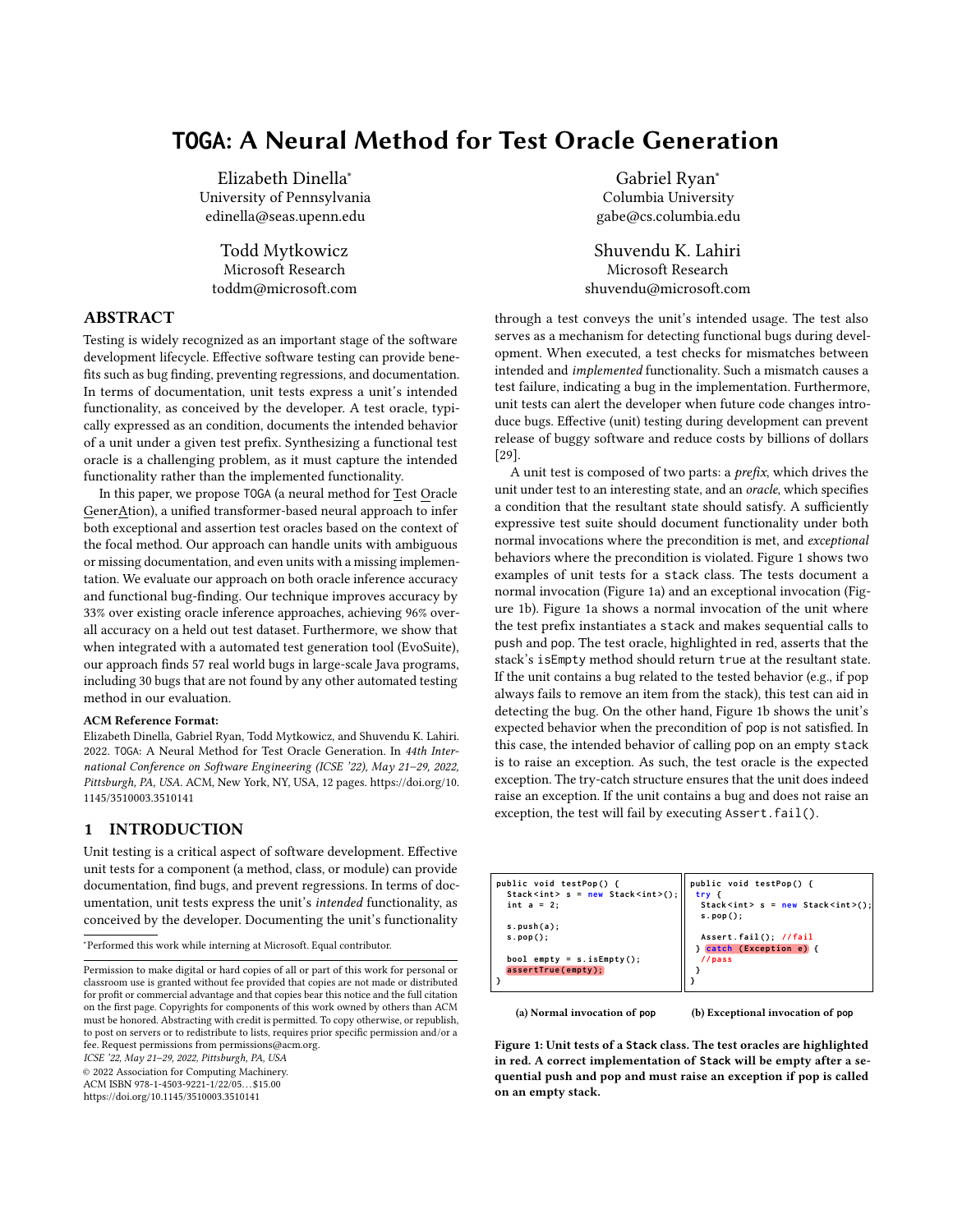# **TOGA**: A Neural Method for Test Oracle Generation

Elizabeth Dinella<sup>∗</sup> University of Pennsylvania edinella@seas.upenn.edu

Todd Mytkowicz Microsoft Research toddm@microsoft.com

# ABSTRACT

Testing is widely recognized as an important stage of the software development lifecycle. Effective software testing can provide benefits such as bug finding, preventing regressions, and documentation. In terms of documentation, unit tests express a unit's intended functionality, as conceived by the developer. A test oracle, typically expressed as an condition, documents the intended behavior of a unit under a given test prefix. Synthesizing a functional test oracle is a challenging problem, as it must capture the intended functionality rather than the implemented functionality.

In this paper, we propose TOGA (a neural method for Test Oracle GenerAtion), a unified transformer-based neural approach to infer both exceptional and assertion test oracles based on the context of the focal method. Our approach can handle units with ambiguous or missing documentation, and even units with a missing implementation. We evaluate our approach on both oracle inference accuracy and functional bug-finding. Our technique improves accuracy by 33% over existing oracle inference approaches, achieving 96% overall accuracy on a held out test dataset. Furthermore, we show that when integrated with a automated test generation tool (EvoSuite), our approach finds 57 real world bugs in large-scale Java programs, including 30 bugs that are not found by any other automated testing method in our evaluation.

### ACM Reference Format:

Elizabeth Dinella, Gabriel Ryan, Todd Mytkowicz, and Shuvendu K. Lahiri. 2022. TOGA: A Neural Method for Test Oracle Generation. In 44th International Conference on Software Engineering (ICSE '22), May 21–29, 2022, Pittsburgh, PA, USA. ACM, New York, NY, USA, 12 pages. https://doi.org/10. 1145/3510003.3510141

# 1 INTRODUCTION

Unit testing is a critical aspect of software development. Effective unit tests for a component (a method, class, or module) can provide documentation, find bugs, and prevent regressions. In terms of documentation, unit tests express the unit's intended functionality, as conceived by the developer. Documenting the unit's functionality

<sup>∗</sup>Performed this work while interning at Microsoft. Equal contributor.

ICSE '22, May 21–29, 2022, Pittsburgh, PA, USA

© 2022 Association for Computing Machinery.

ACM ISBN 978-1-4503-9221-1/22/05. . . \$15.00

https://doi.org/10.1145/3510003.3510141

Gabriel Ryan<sup>∗</sup> Columbia University gabe@cs.columbia.edu

Shuvendu K. Lahiri Microsoft Research shuvendu@microsoft.com

through a test conveys the unit's intended usage. The test also serves as a mechanism for detecting functional bugs during development. When executed, a test checks for mismatches between intended and implemented functionality. Such a mismatch causes a test failure, indicating a bug in the implementation. Furthermore, unit tests can alert the developer when future code changes introduce bugs. Effective (unit) testing during development can prevent release of buggy software and reduce costs by billions of dollars [29].

A unit test is composed of two parts: a prefix, which drives the unit under test to an interesting state, and an oracle, which specifies a condition that the resultant state should satisfy. A sufficiently expressive test suite should document functionality under both normal invocations where the precondition is met, and exceptional behaviors where the precondition is violated. Figure 1 shows two examples of unit tests for a stack class. The tests document a normal invocation (Figure 1a) and an exceptional invocation (Figure 1b). Figure 1a shows a normal invocation of the unit where the test prefix instantiates a stack and makes sequential calls to push and pop. The test oracle, highlighted in red, asserts that the stack's isEmpty method should return true at the resultant state. If the unit contains a bug related to the tested behavior (e.g., if pop always fails to remove an item from the stack), this test can aid in detecting the bug. On the other hand, Figure 1b shows the unit's expected behavior when the precondition of pop is not satisfied. In this case, the intended behavior of calling pop on an empty stack is to raise an exception. As such, the test oracle is the expected exception. The try-catch structure ensures that the unit does indeed raise an exception. If the unit contains a bug and does not raise an exception, the test will fail by executing Assert.fail().

| public void testPop() {<br>Stack <int> <math>s = new Stack<int>( )</int></math>;<br/>int <math>a = 2</math>;<br/>s. push(a)<br/><math>s.pop()</math>;<br/>bool empty = <math>s.isEmpty()</math>;<br/>assertTrue(empty);</int> | public void testPop() {<br>try f<br>Stack <int> <math>s = new Stack<int>( )</int></math>;<br/>s.pop()<br/>Assert.fail(); //fail<br/>} catch (Exception e) {<br/>//pass</int> |
|-------------------------------------------------------------------------------------------------------------------------------------------------------------------------------------------------------------------------------|------------------------------------------------------------------------------------------------------------------------------------------------------------------------------|
|                                                                                                                                                                                                                               |                                                                                                                                                                              |

(a) Normal invocation of **pop**

(b) Exceptional invocation of **pop**

Figure 1: Unit tests of a **Stack** class. The test oracles are highlighted in red. A correct implementation of **Stack** will be empty after a sequential push and pop and must raise an exception if pop is called on an empty stack.

Permission to make digital or hard copies of all or part of this work for personal or classroom use is granted without fee provided that copies are not made or distributed for profit or commercial advantage and that copies bear this notice and the full citation on the first page. Copyrights for components of this work owned by others than ACM must be honored. Abstracting with credit is permitted. To copy otherwise, or republish, to post on servers or to redistribute to lists, requires prior specific permission and/or a fee. Request permissions from permissions@acm.org.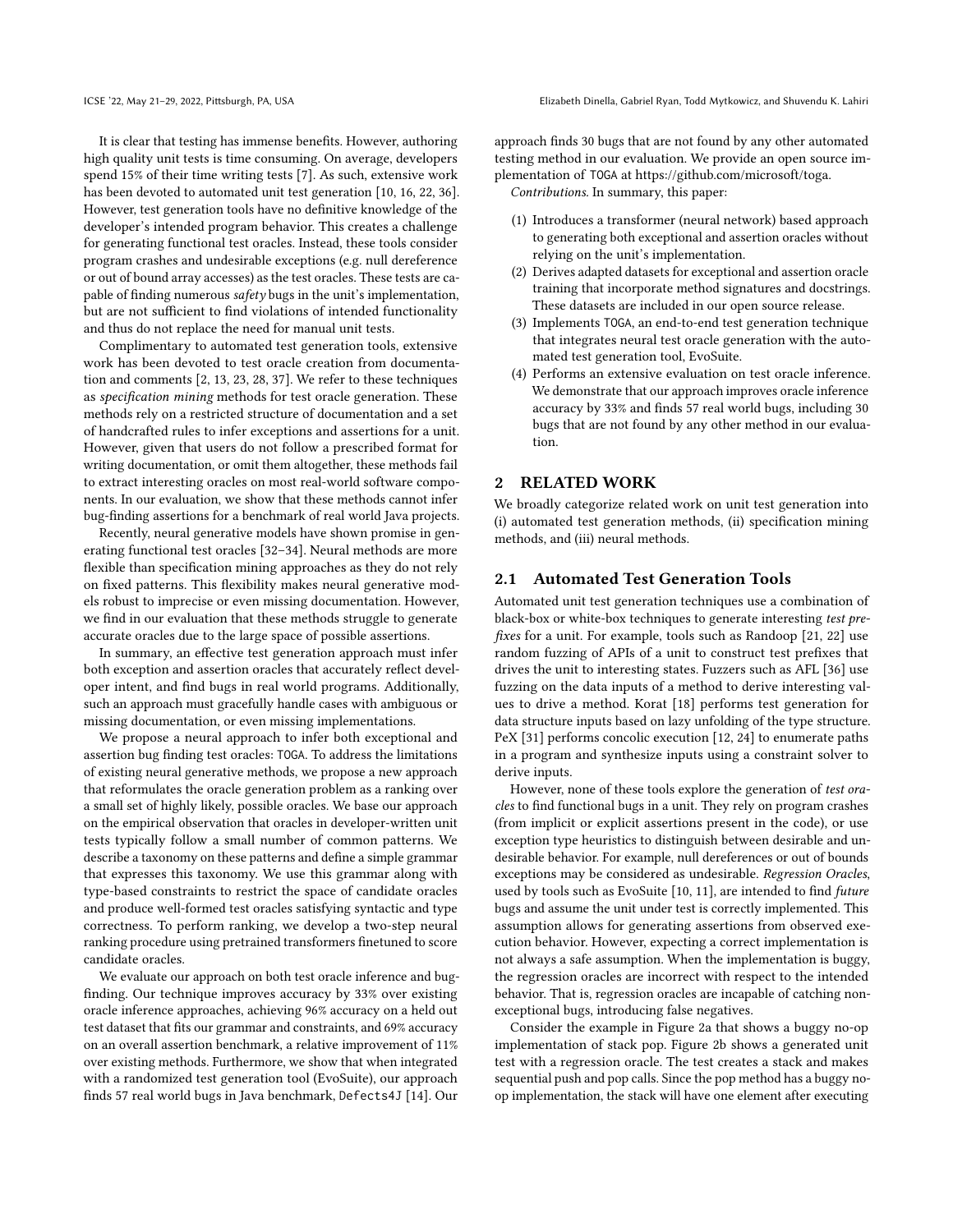It is clear that testing has immense benefits. However, authoring high quality unit tests is time consuming. On average, developers spend 15% of their time writing tests [7]. As such, extensive work has been devoted to automated unit test generation [10, 16, 22, 36]. However, test generation tools have no definitive knowledge of the developer's intended program behavior. This creates a challenge for generating functional test oracles. Instead, these tools consider program crashes and undesirable exceptions (e.g. null dereference or out of bound array accesses) as the test oracles. These tests are capable of finding numerous safety bugs in the unit's implementation, but are not sufficient to find violations of intended functionality and thus do not replace the need for manual unit tests.

Complimentary to automated test generation tools, extensive work has been devoted to test oracle creation from documentation and comments [2, 13, 23, 28, 37]. We refer to these techniques as specification mining methods for test oracle generation. These methods rely on a restricted structure of documentation and a set of handcrafted rules to infer exceptions and assertions for a unit. However, given that users do not follow a prescribed format for writing documentation, or omit them altogether, these methods fail to extract interesting oracles on most real-world software components. In our evaluation, we show that these methods cannot infer bug-finding assertions for a benchmark of real world Java projects.

Recently, neural generative models have shown promise in generating functional test oracles [32–34]. Neural methods are more flexible than specification mining approaches as they do not rely on fixed patterns. This flexibility makes neural generative models robust to imprecise or even missing documentation. However, we find in our evaluation that these methods struggle to generate accurate oracles due to the large space of possible assertions.

In summary, an effective test generation approach must infer both exception and assertion oracles that accurately reflect developer intent, and find bugs in real world programs. Additionally, such an approach must gracefully handle cases with ambiguous or missing documentation, or even missing implementations.

We propose a neural approach to infer both exceptional and assertion bug finding test oracles: TOGA. To address the limitations of existing neural generative methods, we propose a new approach that reformulates the oracle generation problem as a ranking over a small set of highly likely, possible oracles. We base our approach on the empirical observation that oracles in developer-written unit tests typically follow a small number of common patterns. We describe a taxonomy on these patterns and define a simple grammar that expresses this taxonomy. We use this grammar along with type-based constraints to restrict the space of candidate oracles and produce well-formed test oracles satisfying syntactic and type correctness. To perform ranking, we develop a two-step neural ranking procedure using pretrained transformers finetuned to score candidate oracles.

We evaluate our approach on both test oracle inference and bugfinding. Our technique improves accuracy by 33% over existing oracle inference approaches, achieving 96% accuracy on a held out test dataset that fits our grammar and constraints, and 69% accuracy on an overall assertion benchmark, a relative improvement of 11% over existing methods. Furthermore, we show that when integrated with a randomized test generation tool (EvoSuite), our approach finds 57 real world bugs in Java benchmark, Defects4J [14]. Our

approach finds 30 bugs that are not found by any other automated testing method in our evaluation. We provide an open source implementation of TOGA at https://github.com/microsoft/toga. Contributions. In summary, this paper:

- (1) Introduces a transformer (neural network) based approach to generating both exceptional and assertion oracles without relying on the unit's implementation.
- (2) Derives adapted datasets for exceptional and assertion oracle training that incorporate method signatures and docstrings. These datasets are included in our open source release.
- (3) Implements TOGA, an end-to-end test generation technique that integrates neural test oracle generation with the automated test generation tool, EvoSuite.
- (4) Performs an extensive evaluation on test oracle inference. We demonstrate that our approach improves oracle inference accuracy by 33% and finds 57 real world bugs, including 30 bugs that are not found by any other method in our evaluation.

# 2 RELATED WORK

We broadly categorize related work on unit test generation into (i) automated test generation methods, (ii) specification mining methods, and (iii) neural methods.

# 2.1 Automated Test Generation Tools

Automated unit test generation techniques use a combination of black-box or white-box techniques to generate interesting test prefixes for a unit. For example, tools such as Randoop [21, 22] use random fuzzing of APIs of a unit to construct test prefixes that drives the unit to interesting states. Fuzzers such as AFL [36] use fuzzing on the data inputs of a method to derive interesting values to drive a method. Korat [18] performs test generation for data structure inputs based on lazy unfolding of the type structure. PeX [31] performs concolic execution [12, 24] to enumerate paths in a program and synthesize inputs using a constraint solver to derive inputs.

However, none of these tools explore the generation of test oracles to find functional bugs in a unit. They rely on program crashes (from implicit or explicit assertions present in the code), or use exception type heuristics to distinguish between desirable and undesirable behavior. For example, null dereferences or out of bounds exceptions may be considered as undesirable. Regression Oracles, used by tools such as EvoSuite [10, 11], are intended to find future bugs and assume the unit under test is correctly implemented. This assumption allows for generating assertions from observed execution behavior. However, expecting a correct implementation is not always a safe assumption. When the implementation is buggy, the regression oracles are incorrect with respect to the intended behavior. That is, regression oracles are incapable of catching nonexceptional bugs, introducing false negatives.

Consider the example in Figure 2a that shows a buggy no-op implementation of stack pop. Figure 2b shows a generated unit test with a regression oracle. The test creates a stack and makes sequential push and pop calls. Since the pop method has a buggy noop implementation, the stack will have one element after executing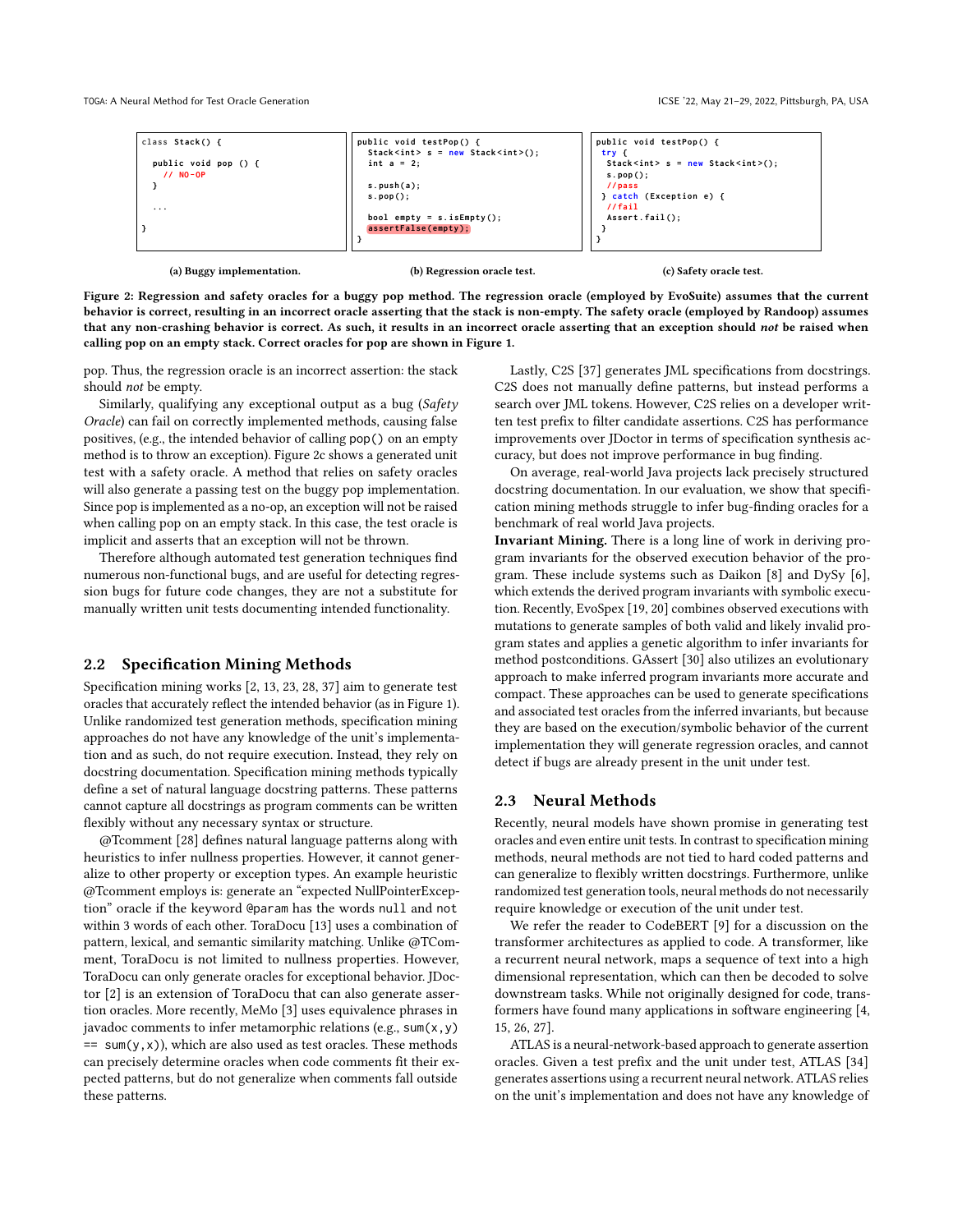TOGA: A Neural Method for Test Oracle Generation ICSE '22, May 21–29, 2022, Pittsburgh, PA, USA

| class Stack() {           | public void testPop() {<br>Stack <int> <math>s = new Stack<int>( )</int></math>;</int> | public void testPop() {<br>try {                            |
|---------------------------|----------------------------------------------------------------------------------------|-------------------------------------------------------------|
| public void pop () {      | int $a = 2$ :                                                                          | Stack <int> <math>s = new Stack<int>( )</int></math>;</int> |
| $11NO-OP$                 |                                                                                        | $s. pop()$ ;                                                |
|                           | s. push(a);                                                                            | //pass                                                      |
|                           | $s.pop()$ ;                                                                            | } catch (Exception e) {                                     |
| $\cdots$                  |                                                                                        | 1/fail                                                      |
|                           | bool empty = $s.isEmpty()$ ;                                                           | $\textsf{assert}\,.\,\textsf{fail}()$                       |
|                           | assertFalse(empty);                                                                    |                                                             |
|                           |                                                                                        |                                                             |
|                           |                                                                                        |                                                             |
|                           |                                                                                        |                                                             |
| (a) Buggy implementation. | (b) Regression oracle test.                                                            | (c) Safety oracle test.                                     |

Figure 2: Regression and safety oracles for a buggy pop method. The regression oracle (employed by EvoSuite) assumes that the current behavior is correct, resulting in an incorrect oracle asserting that the stack is non-empty. The safety oracle (employed by Randoop) assumes that any non-crashing behavior is correct. As such, it results in an incorrect oracle asserting that an exception should not be raised when calling pop on an empty stack. Correct oracles for pop are shown in Figure 1.

pop. Thus, the regression oracle is an incorrect assertion: the stack should not be empty.

Similarly, qualifying any exceptional output as a bug (Safety Oracle) can fail on correctly implemented methods, causing false positives, (e.g., the intended behavior of calling pop() on an empty method is to throw an exception). Figure 2c shows a generated unit test with a safety oracle. A method that relies on safety oracles will also generate a passing test on the buggy pop implementation. Since pop is implemented as a no-op, an exception will not be raised when calling pop on an empty stack. In this case, the test oracle is implicit and asserts that an exception will not be thrown.

Therefore although automated test generation techniques find numerous non-functional bugs, and are useful for detecting regression bugs for future code changes, they are not a substitute for manually written unit tests documenting intended functionality.

### 2.2 Specification Mining Methods

Specification mining works [2, 13, 23, 28, 37] aim to generate test oracles that accurately reflect the intended behavior (as in Figure 1). Unlike randomized test generation methods, specification mining approaches do not have any knowledge of the unit's implementation and as such, do not require execution. Instead, they rely on docstring documentation. Specification mining methods typically define a set of natural language docstring patterns. These patterns cannot capture all docstrings as program comments can be written flexibly without any necessary syntax or structure.

@Tcomment [28] defines natural language patterns along with heuristics to infer nullness properties. However, it cannot generalize to other property or exception types. An example heuristic @Tcomment employs is: generate an "expected NullPointerException" oracle if the keyword @param has the words null and not within 3 words of each other. ToraDocu [13] uses a combination of pattern, lexical, and semantic similarity matching. Unlike @TComment, ToraDocu is not limited to nullness properties. However, ToraDocu can only generate oracles for exceptional behavior. JDoctor [2] is an extension of ToraDocu that can also generate assertion oracles. More recently, MeMo [3] uses equivalence phrases in javadoc comments to infer metamorphic relations (e.g., sum(x,y)  $== sum(y, x)$ , which are also used as test oracles. These methods can precisely determine oracles when code comments fit their expected patterns, but do not generalize when comments fall outside these patterns.

Lastly, C2S [37] generates JML specifications from docstrings. C2S does not manually define patterns, but instead performs a search over JML tokens. However, C2S relies on a developer written test prefix to filter candidate assertions. C2S has performance improvements over JDoctor in terms of specification synthesis accuracy, but does not improve performance in bug finding.

On average, real-world Java projects lack precisely structured docstring documentation. In our evaluation, we show that specification mining methods struggle to infer bug-finding oracles for a benchmark of real world Java projects.

Invariant Mining. There is a long line of work in deriving program invariants for the observed execution behavior of the program. These include systems such as Daikon [8] and DySy [6], which extends the derived program invariants with symbolic execution. Recently, EvoSpex [19, 20] combines observed executions with mutations to generate samples of both valid and likely invalid program states and applies a genetic algorithm to infer invariants for method postconditions. GAssert [30] also utilizes an evolutionary approach to make inferred program invariants more accurate and compact. These approaches can be used to generate specifications and associated test oracles from the inferred invariants, but because they are based on the execution/symbolic behavior of the current implementation they will generate regression oracles, and cannot detect if bugs are already present in the unit under test.

# 2.3 Neural Methods

Recently, neural models have shown promise in generating test oracles and even entire unit tests. In contrast to specification mining methods, neural methods are not tied to hard coded patterns and can generalize to flexibly written docstrings. Furthermore, unlike randomized test generation tools, neural methods do not necessarily require knowledge or execution of the unit under test.

We refer the reader to CodeBERT [9] for a discussion on the transformer architectures as applied to code. A transformer, like a recurrent neural network, maps a sequence of text into a high dimensional representation, which can then be decoded to solve downstream tasks. While not originally designed for code, transformers have found many applications in software engineering [4, 15, 26, 27].

ATLAS is a neural-network-based approach to generate assertion oracles. Given a test prefix and the unit under test, ATLAS [34] generates assertions using a recurrent neural network. ATLAS relies on the unit's implementation and does not have any knowledge of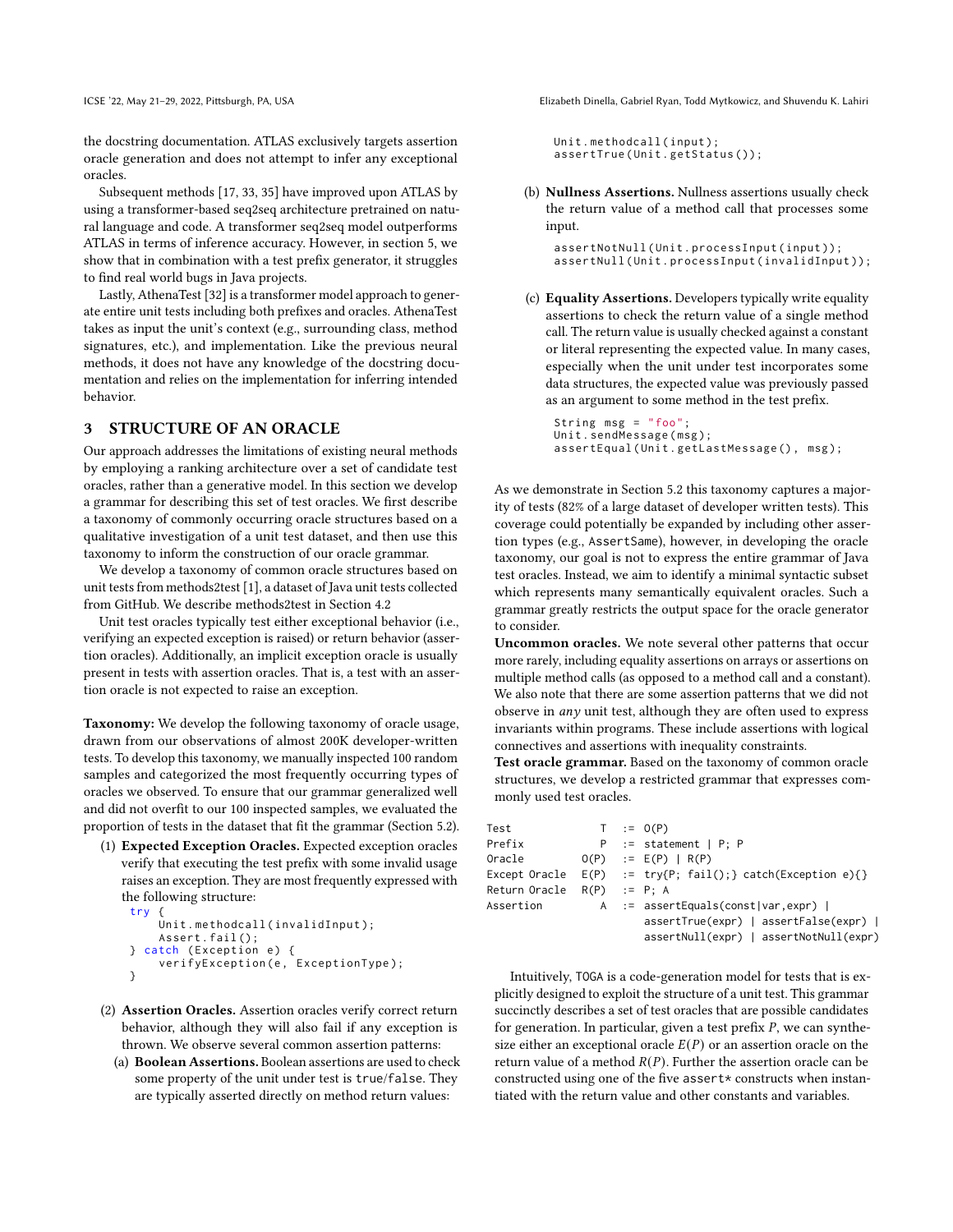the docstring documentation. ATLAS exclusively targets assertion oracle generation and does not attempt to infer any exceptional oracles.

Subsequent methods [17, 33, 35] have improved upon ATLAS by using a transformer-based seq2seq architecture pretrained on natural language and code. A transformer seq2seq model outperforms ATLAS in terms of inference accuracy. However, in section 5, we show that in combination with a test prefix generator, it struggles to find real world bugs in Java projects.

Lastly, AthenaTest [32] is a transformer model approach to generate entire unit tests including both prefixes and oracles. AthenaTest takes as input the unit's context (e.g., surrounding class, method signatures, etc.), and implementation. Like the previous neural methods, it does not have any knowledge of the docstring documentation and relies on the implementation for inferring intended behavior.

# 3 STRUCTURE OF AN ORACLE

Our approach addresses the limitations of existing neural methods by employing a ranking architecture over a set of candidate test oracles, rather than a generative model. In this section we develop a grammar for describing this set of test oracles. We first describe a taxonomy of commonly occurring oracle structures based on a qualitative investigation of a unit test dataset, and then use this taxonomy to inform the construction of our oracle grammar.

We develop a taxonomy of common oracle structures based on unit tests from methods2test [1], a dataset of Java unit tests collected from GitHub. We describe methods2test in Section 4.2

Unit test oracles typically test either exceptional behavior (i.e., verifying an expected exception is raised) or return behavior (assertion oracles). Additionally, an implicit exception oracle is usually present in tests with assertion oracles. That is, a test with an assertion oracle is not expected to raise an exception.

Taxonomy: We develop the following taxonomy of oracle usage, drawn from our observations of almost 200K developer-written tests. To develop this taxonomy, we manually inspected 100 random samples and categorized the most frequently occurring types of oracles we observed. To ensure that our grammar generalized well and did not overfit to our 100 inspected samples, we evaluated the proportion of tests in the dataset that fit the grammar (Section 5.2).

(1) Expected Exception Oracles. Expected exception oracles verify that executing the test prefix with some invalid usage raises an exception. They are most frequently expressed with the following structure: try {

```
Unit.methodcall(invalidInput);
    Assert . fail ();
} catch ( Exception e) {
    verifyException (e, ExceptionType );
}
```
- (2) Assertion Oracles. Assertion oracles verify correct return behavior, although they will also fail if any exception is thrown. We observe several common assertion patterns:
	- (a) Boolean Assertions. Boolean assertions are used to check some property of the unit under test is true/false. They are typically asserted directly on method return values:

ICSE '22, May 21–29, 2022, Pittsburgh, PA, USA Elizabeth Dinella, Gabriel Ryan, Todd Mytkowicz, and Shuvendu K. Lahiri

```
Unit . methodcall ( input );
assertTrue(Unit.getStatus());
```
(b) Nullness Assertions. Nullness assertions usually check the return value of a method call that processes some input.

assertNotNull ( Unit . processInput ( input )); assertNull ( Unit . processInput ( invalidInput ));

(c) Equality Assertions. Developers typically write equality assertions to check the return value of a single method call. The return value is usually checked against a constant or literal representing the expected value. In many cases, especially when the unit under test incorporates some data structures, the expected value was previously passed as an argument to some method in the test prefix.

```
String msg = "foo";
Unit.sendMessage(msg);
assertEqual ( Unit . getLastMessage ( ), msg );
```
As we demonstrate in Section 5.2 this taxonomy captures a majority of tests (82% of a large dataset of developer written tests). This coverage could potentially be expanded by including other assertion types (e.g., AssertSame), however, in developing the oracle taxonomy, our goal is not to express the entire grammar of Java test oracles. Instead, we aim to identify a minimal syntactic subset which represents many semantically equivalent oracles. Such a grammar greatly restricts the output space for the oracle generator to consider.

Uncommon oracles. We note several other patterns that occur more rarely, including equality assertions on arrays or assertions on multiple method calls (as opposed to a method call and a constant). We also note that there are some assertion patterns that we did not observe in any unit test, although they are often used to express invariants within programs. These include assertions with logical connectives and assertions with inequality constraints.

Test oracle grammar. Based on the taxonomy of common oracle structures, we develop a restricted grammar that expresses commonly used test oracles.

| Test                            |  | $T := O(P)$                                    |
|---------------------------------|--|------------------------------------------------|
| Prefix                          |  | $P$ := statement   P; P                        |
| Oracle                          |  | $O(P)$ := $E(P)$   R(P)                        |
| Except Oracle                   |  | $E(P)$ := try{P; fail();} catch(Exception e){} |
| Return Oracle   R(P)   :=  P: A |  |                                                |
| Assertion                       |  | $A$ := assertEquals(const var,expr)            |
|                                 |  | assertTrue(expr)   assertFalse(expr)           |
|                                 |  | assertNull(expr)   assertNotNull(expr)         |

Intuitively, TOGA is a code-generation model for tests that is explicitly designed to exploit the structure of a unit test. This grammar succinctly describes a set of test oracles that are possible candidates for generation. In particular, given a test prefix  $P$ , we can synthesize either an exceptional oracle  $E(P)$  or an assertion oracle on the return value of a method  $R(P)$ . Further the assertion oracle can be constructed using one of the five assert $*$  constructs when instantiated with the return value and other constants and variables.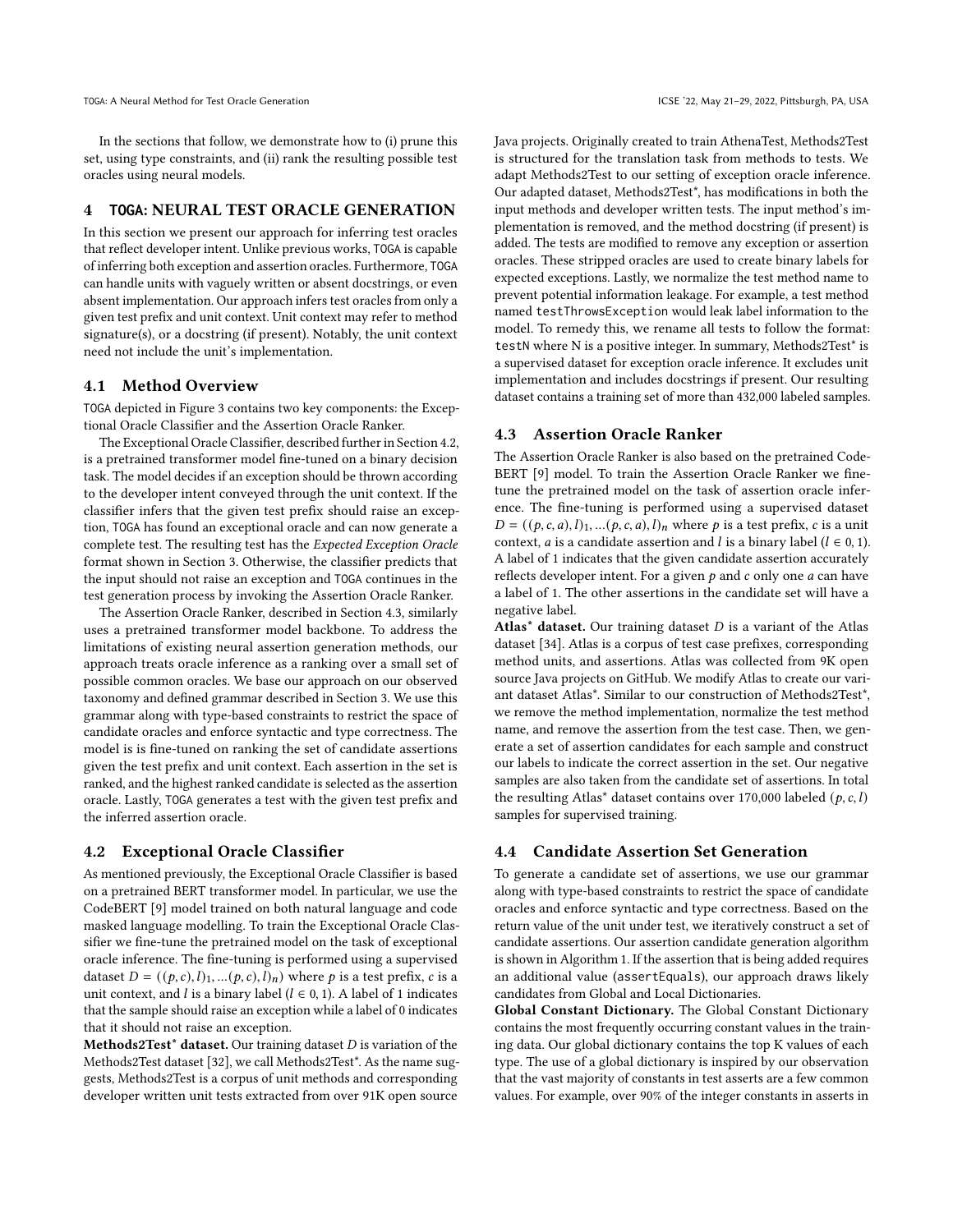In the sections that follow, we demonstrate how to (i) prune this set, using type constraints, and (ii) rank the resulting possible test oracles using neural models.

# 4 **TOGA**: NEURAL TEST ORACLE GENERATION

In this section we present our approach for inferring test oracles that reflect developer intent. Unlike previous works, TOGA is capable of inferring both exception and assertion oracles. Furthermore, TOGA can handle units with vaguely written or absent docstrings, or even absent implementation. Our approach infers test oracles from only a given test prefix and unit context. Unit context may refer to method signature(s), or a docstring (if present). Notably, the unit context need not include the unit's implementation.

# 4.1 Method Overview

TOGA depicted in Figure 3 contains two key components: the Exceptional Oracle Classifier and the Assertion Oracle Ranker.

The Exceptional Oracle Classifier, described further in Section 4.2, is a pretrained transformer model fine-tuned on a binary decision task. The model decides if an exception should be thrown according to the developer intent conveyed through the unit context. If the classifier infers that the given test prefix should raise an exception, TOGA has found an exceptional oracle and can now generate a complete test. The resulting test has the Expected Exception Oracle format shown in Section 3. Otherwise, the classifier predicts that the input should not raise an exception and TOGA continues in the test generation process by invoking the Assertion Oracle Ranker.

The Assertion Oracle Ranker, described in Section 4.3, similarly uses a pretrained transformer model backbone. To address the limitations of existing neural assertion generation methods, our approach treats oracle inference as a ranking over a small set of possible common oracles. We base our approach on our observed taxonomy and defined grammar described in Section 3. We use this grammar along with type-based constraints to restrict the space of candidate oracles and enforce syntactic and type correctness. The model is is fine-tuned on ranking the set of candidate assertions given the test prefix and unit context. Each assertion in the set is ranked, and the highest ranked candidate is selected as the assertion oracle. Lastly, TOGA generates a test with the given test prefix and the inferred assertion oracle.

### 4.2 Exceptional Oracle Classifier

As mentioned previously, the Exceptional Oracle Classifier is based on a pretrained BERT transformer model. In particular, we use the CodeBERT [9] model trained on both natural language and code masked language modelling. To train the Exceptional Oracle Classifier we fine-tune the pretrained model on the task of exceptional oracle inference. The fine-tuning is performed using a supervised dataset  $D = ((p, c), l)_1, ..., (p, c), l)_n$  where p is a test prefix, c is a unit context, and  $l$  is a binary label ( $l \in 0, 1$ ). A label of 1 indicates that the sample should raise an exception while a label of 0 indicates that it should not raise an exception.

Methods2Test\* dataset. Our training dataset  $D$  is variation of the Methods2Test dataset [32], we call Methods2Test\*. As the name suggests, Methods2Test is a corpus of unit methods and corresponding developer written unit tests extracted from over 91K open source

Java projects. Originally created to train AthenaTest, Methods2Test is structured for the translation task from methods to tests. We adapt Methods2Test to our setting of exception oracle inference. Our adapted dataset, Methods2Test\*, has modifications in both the input methods and developer written tests. The input method's implementation is removed, and the method docstring (if present) is added. The tests are modified to remove any exception or assertion oracles. These stripped oracles are used to create binary labels for expected exceptions. Lastly, we normalize the test method name to prevent potential information leakage. For example, a test method named testThrowsException would leak label information to the model. To remedy this, we rename all tests to follow the format: testN where N is a positive integer. In summary, Methods2Test\* is a supervised dataset for exception oracle inference. It excludes unit implementation and includes docstrings if present. Our resulting dataset contains a training set of more than 432,000 labeled samples.

### 4.3 Assertion Oracle Ranker

The Assertion Oracle Ranker is also based on the pretrained Code-BERT [9] model. To train the Assertion Oracle Ranker we finetune the pretrained model on the task of assertion oracle inference. The fine-tuning is performed using a supervised dataset  $D = ((p, c, a), l)<sub>1</sub>, ... (p, c, a), l)<sub>n</sub>$  where p is a test prefix, c is a unit context, *a* is a candidate assertion and *l* is a binary label ( $l \in 0, 1$ ). A label of 1 indicates that the given candidate assertion accurately reflects developer intent. For a given  $p$  and  $c$  only one  $a$  can have a label of 1. The other assertions in the candidate set will have a negative label.

Atlas\* dataset. Our training dataset  $D$  is a variant of the Atlas dataset [34]. Atlas is a corpus of test case prefixes, corresponding method units, and assertions. Atlas was collected from 9K open source Java projects on GitHub. We modify Atlas to create our variant dataset Atlas\*. Similar to our construction of Methods2Test\*, we remove the method implementation, normalize the test method name, and remove the assertion from the test case. Then, we generate a set of assertion candidates for each sample and construct our labels to indicate the correct assertion in the set. Our negative samples are also taken from the candidate set of assertions. In total the resulting Atlas<sup>\*</sup> dataset contains over 170,000 labeled  $(p, c, l)$ samples for supervised training.

# 4.4 Candidate Assertion Set Generation

To generate a candidate set of assertions, we use our grammar along with type-based constraints to restrict the space of candidate oracles and enforce syntactic and type correctness. Based on the return value of the unit under test, we iteratively construct a set of candidate assertions. Our assertion candidate generation algorithm is shown in Algorithm 1. If the assertion that is being added requires an additional value (assertEquals), our approach draws likely candidates from Global and Local Dictionaries.

Global Constant Dictionary. The Global Constant Dictionary contains the most frequently occurring constant values in the training data. Our global dictionary contains the top K values of each type. The use of a global dictionary is inspired by our observation that the vast majority of constants in test asserts are a few common values. For example, over 90% of the integer constants in asserts in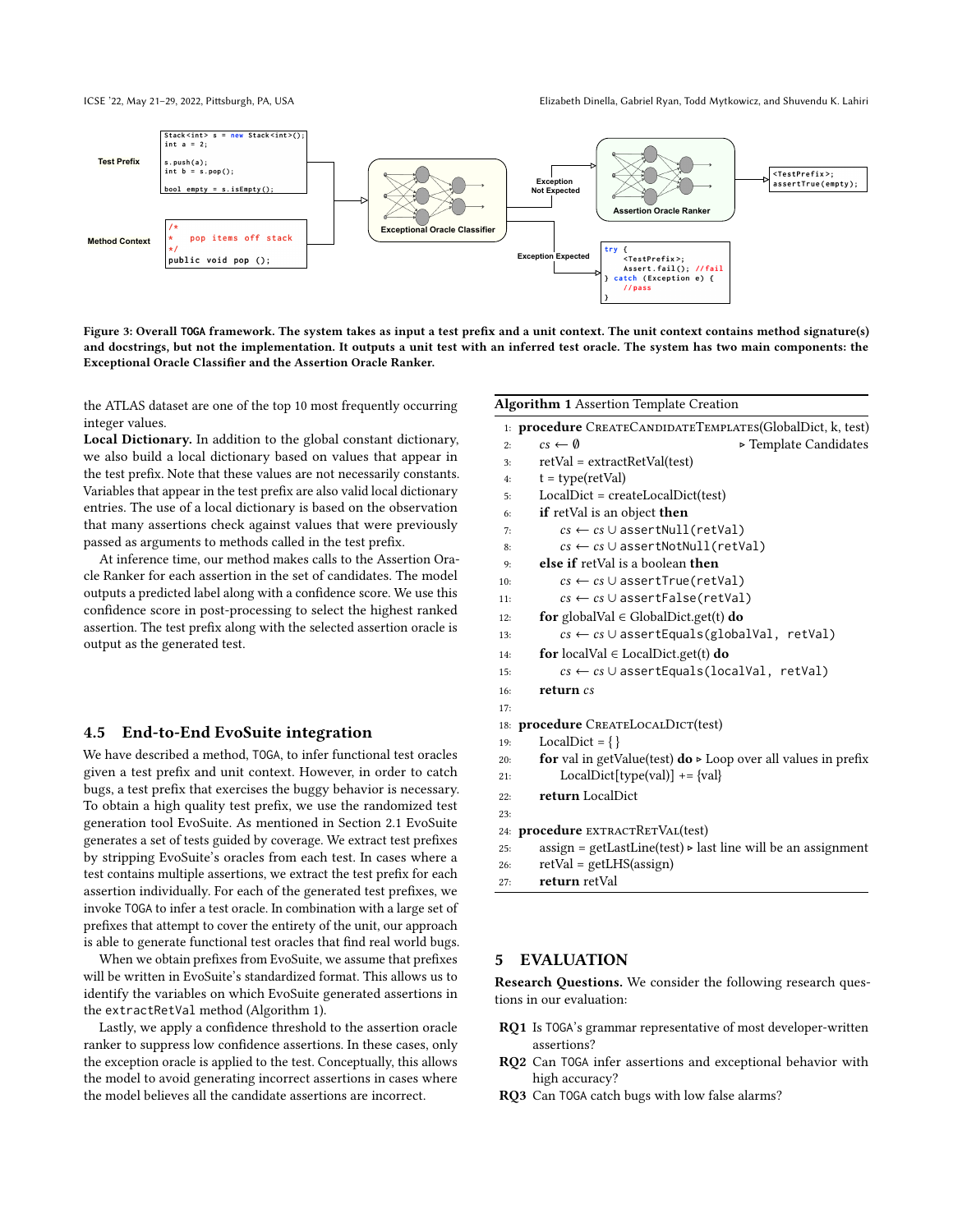

Figure 3: Overall T0GA framework. The system takes as input a test prefix and a unit context. The unit context contains method signature(s) and docstrings, but not the implementation. It outputs a unit test with an inferred test oracle. The system has two main components: the Exceptional Oracle Classifier and the Assertion Oracle Ranker.

the ATLAS dataset are one of the top 10 most frequently occurring integer values.

Local Dictionary. In addition to the global constant dictionary, we also build a local dictionary based on values that appear in the test prefix. Note that these values are not necessarily constants. Variables that appear in the test prefix are also valid local dictionary entries. The use of a local dictionary is based on the observation that many assertions check against values that were previously passed as arguments to methods called in the test prefix.

At inference time, our method makes calls to the Assertion Oracle Ranker for each assertion in the set of candidates. The model outputs a predicted label along with a confidence score. We use this confidence score in post-processing to select the highest ranked assertion. The test prefix along with the selected assertion oracle is output as the generated test.

# 4.5 End-to-End EvoSuite integration

We have described a method, TOGA, to infer functional test oracles given a test prefix and unit context. However, in order to catch bugs, a test prefix that exercises the buggy behavior is necessary. To obtain a high quality test prefix, we use the randomized test generation tool EvoSuite. As mentioned in Section 2.1 EvoSuite generates a set of tests guided by coverage. We extract test prefixes by stripping EvoSuite's oracles from each test. In cases where a test contains multiple assertions, we extract the test prefix for each assertion individually. For each of the generated test prefixes, we invoke TOGA to infer a test oracle. In combination with a large set of prefixes that attempt to cover the entirety of the unit, our approach is able to generate functional test oracles that find real world bugs.

When we obtain prefixes from EvoSuite, we assume that prefixes will be written in EvoSuite's standardized format. This allows us to identify the variables on which EvoSuite generated assertions in the extractRetVal method (Algorithm 1).

Lastly, we apply a confidence threshold to the assertion oracle ranker to suppress low confidence assertions. In these cases, only the exception oracle is applied to the test. Conceptually, this allows the model to avoid generating incorrect assertions in cases where the model believes all the candidate assertions are incorrect.

#### Algorithm 1 Assertion Template Creation

|     | 1: procedure CREATECANDIDATETEMPLATES(GlobalDict, k, test)                                    |                       |
|-----|-----------------------------------------------------------------------------------------------|-----------------------|
| 2:  | $cs \leftarrow \emptyset$                                                                     | ► Template Candidates |
| 3:  | $retVal = extractRetVal(test)$                                                                |                       |
| 4:  | $t = type(retVal)$                                                                            |                       |
| 5:  | $LocalDict = createLocalDict(test)$                                                           |                       |
| 6:  | <b>if</b> retVal is an object <b>then</b>                                                     |                       |
| 7:  | $cs \leftarrow cs \cup assertNull(retVal)$                                                    |                       |
| 8:  | $cs \leftarrow cs \cup assertNotNull(retVal)$                                                 |                       |
| 9:  | <b>else if</b> retVal is a boolean <b>then</b>                                                |                       |
| 10: | $cs \leftarrow cs \cup assertTrue(retVal)$                                                    |                       |
| 11: | $cs \leftarrow cs \cup assertFalse(retVal)$                                                   |                       |
| 12: | <b>for</b> globalVal $\in$ GlobalDict.get(t) <b>do</b>                                        |                       |
| 13: | $cs \leftarrow cs \cup assertEquals(globalVal, retVal)$                                       |                       |
| 14: | <b>for</b> localVal $\in$ LocalDict.get(t) <b>do</b>                                          |                       |
| 15: | $cs \leftarrow cs \cup assertEquals(localVal, retVal)$                                        |                       |
| 16: | return cs                                                                                     |                       |
| 17: |                                                                                               |                       |
|     | 18: <b>procedure</b> CREATELOCALDICT(test)                                                    |                       |
| 19: | LocalDict = $\{\}$                                                                            |                       |
| 20: | <b>for</b> val in getValue(test) $\bf{do} \triangleright \bf{Loop}$ over all values in prefix |                       |
| 21: | $LocalDict[type(val)] += \{val\}$                                                             |                       |
| 22: | return LocalDict                                                                              |                       |
| 23: |                                                                                               |                       |
|     | 24: <b>procedure</b> EXTRACTRETVAL(test)                                                      |                       |
| 25: | $assign = getLastLine(test) \geq last line will be an assignment$                             |                       |
| 26: | $retVal = getLHS(assign)$                                                                     |                       |

```
27: return retVal
```
# 5 EVALUATION

Research Questions. We consider the following research questions in our evaluation:

- RQ1 Is TOGA's grammar representative of most developer-written assertions?
- RQ2 Can TOGA infer assertions and exceptional behavior with high accuracy?
- RQ3 Can TOGA catch bugs with low false alarms?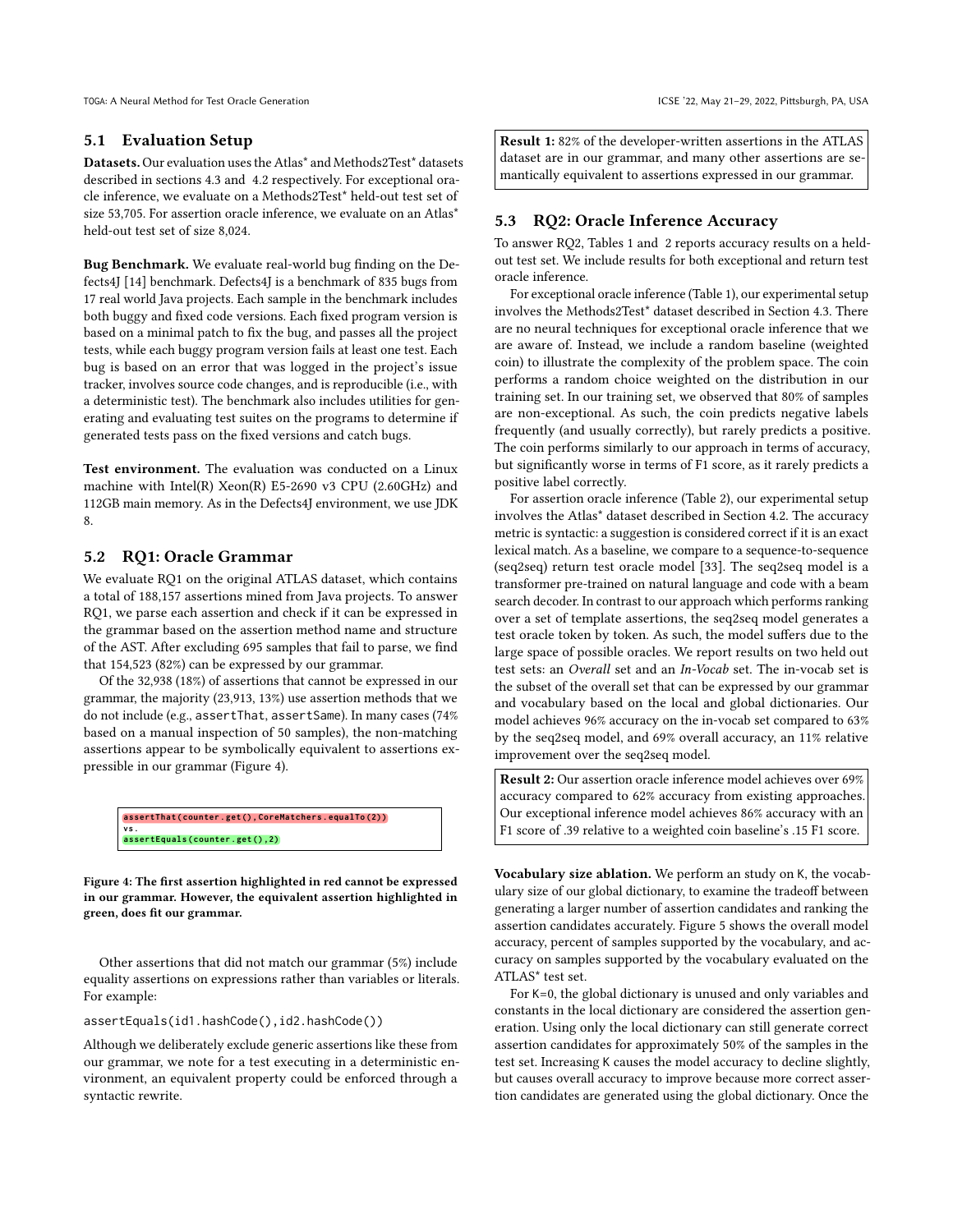# 5.1 Evaluation Setup

Datasets. Our evaluation uses the Atlas\* and Methods2Test\* datasets described in sections 4.3 and 4.2 respectively. For exceptional oracle inference, we evaluate on a Methods2Test\* held-out test set of size 53,705. For assertion oracle inference, we evaluate on an Atlas\* held-out test set of size 8,024.

Bug Benchmark. We evaluate real-world bug finding on the Defects4J [14] benchmark. Defects4J is a benchmark of 835 bugs from 17 real world Java projects. Each sample in the benchmark includes both buggy and fixed code versions. Each fixed program version is based on a minimal patch to fix the bug, and passes all the project tests, while each buggy program version fails at least one test. Each bug is based on an error that was logged in the project's issue tracker, involves source code changes, and is reproducible (i.e., with a deterministic test). The benchmark also includes utilities for generating and evaluating test suites on the programs to determine if generated tests pass on the fixed versions and catch bugs.

Test environment. The evaluation was conducted on a Linux machine with Intel(R) Xeon(R) E5-2690 v3 CPU (2.60GHz) and 112GB main memory. As in the Defects4J environment, we use JDK 8.

# 5.2 RQ1: Oracle Grammar

We evaluate RQ1 on the original ATLAS dataset, which contains a total of 188,157 assertions mined from Java projects. To answer RQ1, we parse each assertion and check if it can be expressed in the grammar based on the assertion method name and structure of the AST. After excluding 695 samples that fail to parse, we find that 154,523 (82%) can be expressed by our grammar.

Of the 32,938 (18%) of assertions that cannot be expressed in our grammar, the majority (23,913, 13%) use assertion methods that we do not include (e.g., assertThat, assertSame). In many cases (74% based on a manual inspection of 50 samples), the non-matching assertions appear to be symbolically equivalent to assertions expressible in our grammar (Figure 4).



Figure 4: The first assertion highlighted in red cannot be expressed in our grammar. However, the equivalent assertion highlighted in green, does fit our grammar.

Other assertions that did not match our grammar (5%) include equality assertions on expressions rather than variables or literals. For example:

### assertEquals(id1.hashCode(),id2.hashCode())

Although we deliberately exclude generic assertions like these from our grammar, we note for a test executing in a deterministic environment, an equivalent property could be enforced through a syntactic rewrite.

Result 1: 82% of the developer-written assertions in the ATLAS dataset are in our grammar, and many other assertions are semantically equivalent to assertions expressed in our grammar.

# 5.3 RQ2: Oracle Inference Accuracy

To answer RQ2, Tables 1 and 2 reports accuracy results on a heldout test set. We include results for both exceptional and return test oracle inference.

For exceptional oracle inference (Table 1), our experimental setup involves the Methods2Test\* dataset described in Section 4.3. There are no neural techniques for exceptional oracle inference that we are aware of. Instead, we include a random baseline (weighted coin) to illustrate the complexity of the problem space. The coin performs a random choice weighted on the distribution in our training set. In our training set, we observed that 80% of samples are non-exceptional. As such, the coin predicts negative labels frequently (and usually correctly), but rarely predicts a positive. The coin performs similarly to our approach in terms of accuracy, but significantly worse in terms of F1 score, as it rarely predicts a positive label correctly.

For assertion oracle inference (Table 2), our experimental setup involves the Atlas\* dataset described in Section 4.2. The accuracy metric is syntactic: a suggestion is considered correct if it is an exact lexical match. As a baseline, we compare to a sequence-to-sequence (seq2seq) return test oracle model [33]. The seq2seq model is a transformer pre-trained on natural language and code with a beam search decoder. In contrast to our approach which performs ranking over a set of template assertions, the seq2seq model generates a test oracle token by token. As such, the model suffers due to the large space of possible oracles. We report results on two held out test sets: an Overall set and an In-Vocab set. The in-vocab set is the subset of the overall set that can be expressed by our grammar and vocabulary based on the local and global dictionaries. Our model achieves 96% accuracy on the in-vocab set compared to 63% by the seq2seq model, and 69% overall accuracy, an 11% relative improvement over the seq2seq model.

Result 2: Our assertion oracle inference model achieves over 69% accuracy compared to 62% accuracy from existing approaches. Our exceptional inference model achieves 86% accuracy with an F1 score of .39 relative to a weighted coin baseline's .15 F1 score.

Vocabulary size ablation. We perform an study on K, the vocabulary size of our global dictionary, to examine the tradeoff between generating a larger number of assertion candidates and ranking the assertion candidates accurately. Figure 5 shows the overall model accuracy, percent of samples supported by the vocabulary, and accuracy on samples supported by the vocabulary evaluated on the ATLAS\* test set.

For K=0, the global dictionary is unused and only variables and constants in the local dictionary are considered the assertion generation. Using only the local dictionary can still generate correct assertion candidates for approximately 50% of the samples in the test set. Increasing K causes the model accuracy to decline slightly, but causes overall accuracy to improve because more correct assertion candidates are generated using the global dictionary. Once the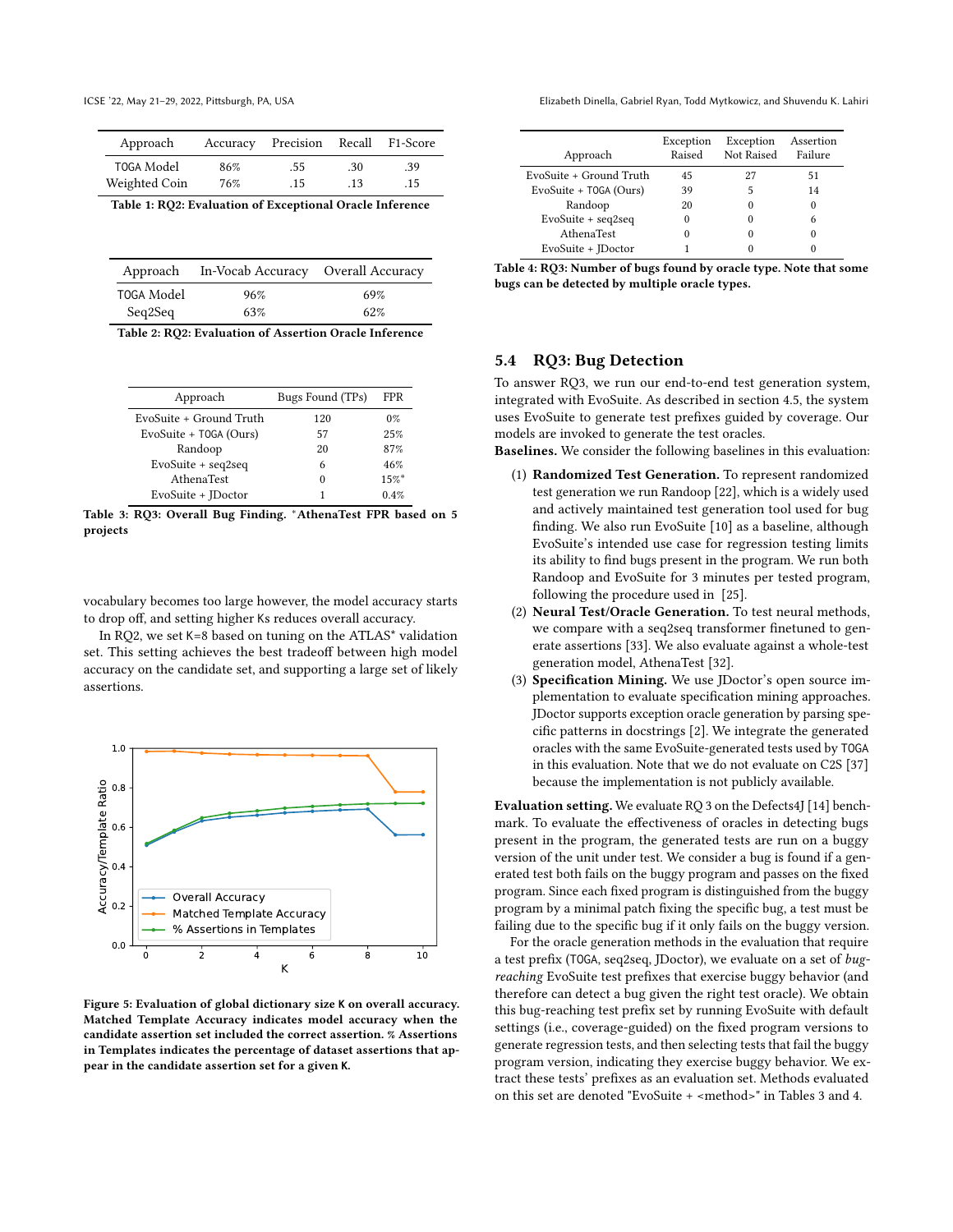| Approach      | Accuracy | Precision Recall |     | F1-Score |
|---------------|----------|------------------|-----|----------|
| T0GA Model    | 86%      | .55              | .30 | .39      |
| Weighted Coin | 76%      | .15              | .13 | $.15 -$  |

Table 1: RQ2: Evaluation of Exceptional Oracle Inference

| Approach   | In-Vocab Accuracy Overall Accuracy |     |
|------------|------------------------------------|-----|
| TOGA Model | 96%                                | 69% |
| Seq2Seq    | 63%                                | 62% |

|  |  |  |  |  |  | Table 2: RQ2: Evaluation of Assertion Oracle Inference |  |  |  |
|--|--|--|--|--|--|--------------------------------------------------------|--|--|--|
|  |  |  |  |  |  |                                                        |  |  |  |

| Approach                | Bugs Found (TPs) | FPR.  |
|-------------------------|------------------|-------|
| EvoSuite + Ground Truth | 120              | $0\%$ |
| EvoSuite + T0GA (Ours)  | 57               | 25%   |
| Randoop                 | 20               | 87%   |
| $EvoSuite + seq2seq$    | 6                | 46%   |
| AthenaTest              | 0                | 15%   |
| EvoSuite + IDoctor      |                  | 0.4%  |

Table 3: RQ3: Overall Bug Finding. <sup>∗</sup>AthenaTest FPR based on 5 projects

vocabulary becomes too large however, the model accuracy starts to drop off, and setting higher Ks reduces overall accuracy.

In RQ2, we set K=8 based on tuning on the ATLAS\* validation set. This setting achieves the best tradeoff between high model accuracy on the candidate set, and supporting a large set of likely assertions.



Figure 5: Evaluation of global dictionary size **K** on overall accuracy. Matched Template Accuracy indicates model accuracy when the candidate assertion set included the correct assertion. % Assertions in Templates indicates the percentage of dataset assertions that appear in the candidate assertion set for a given **K**.

ICSE '22, May 21–29, 2022, Pittsburgh, PA, USA Elizabeth Dinella, Gabriel Ryan, Todd Mytkowicz, and Shuvendu K. Lahiri

| Exception<br>Raised | Exception<br>Not Raised | Assertion<br>Failure |
|---------------------|-------------------------|----------------------|
| 45                  | 27                      | 51                   |
| 39                  | 5                       | 14                   |
| 20                  |                         | 0                    |
| 0                   |                         | 6                    |
|                     |                         |                      |
|                     |                         |                      |
|                     |                         |                      |

| Table 4: RQ3: Number of bugs found by oracle type. Note that some |
|-------------------------------------------------------------------|
| bugs can be detected by multiple oracle types.                    |

# 5.4 RQ3: Bug Detection

To answer RQ3, we run our end-to-end test generation system, integrated with EvoSuite. As described in section 4.5, the system uses EvoSuite to generate test prefixes guided by coverage. Our models are invoked to generate the test oracles.

Baselines. We consider the following baselines in this evaluation:

- (1) Randomized Test Generation. To represent randomized test generation we run Randoop [22], which is a widely used and actively maintained test generation tool used for bug finding. We also run EvoSuite [10] as a baseline, although EvoSuite's intended use case for regression testing limits its ability to find bugs present in the program. We run both Randoop and EvoSuite for 3 minutes per tested program, following the procedure used in [25].
- (2) Neural Test/Oracle Generation. To test neural methods, we compare with a seq2seq transformer finetuned to generate assertions [33]. We also evaluate against a whole-test generation model, AthenaTest [32].
- (3) Specification Mining. We use JDoctor's open source implementation to evaluate specification mining approaches. JDoctor supports exception oracle generation by parsing specific patterns in docstrings [2]. We integrate the generated oracles with the same EvoSuite-generated tests used by TOGA in this evaluation. Note that we do not evaluate on C2S [37] because the implementation is not publicly available.

Evaluation setting. We evaluate RQ 3 on the Defects4J [14] benchmark. To evaluate the effectiveness of oracles in detecting bugs present in the program, the generated tests are run on a buggy version of the unit under test. We consider a bug is found if a generated test both fails on the buggy program and passes on the fixed program. Since each fixed program is distinguished from the buggy program by a minimal patch fixing the specific bug, a test must be failing due to the specific bug if it only fails on the buggy version.

For the oracle generation methods in the evaluation that require a test prefix (TOGA, seq2seq, JDoctor), we evaluate on a set of bugreaching EvoSuite test prefixes that exercise buggy behavior (and therefore can detect a bug given the right test oracle). We obtain this bug-reaching test prefix set by running EvoSuite with default settings (i.e., coverage-guided) on the fixed program versions to generate regression tests, and then selecting tests that fail the buggy program version, indicating they exercise buggy behavior. We extract these tests' prefixes as an evaluation set. Methods evaluated on this set are denoted "EvoSuite + <method>" in Tables 3 and 4.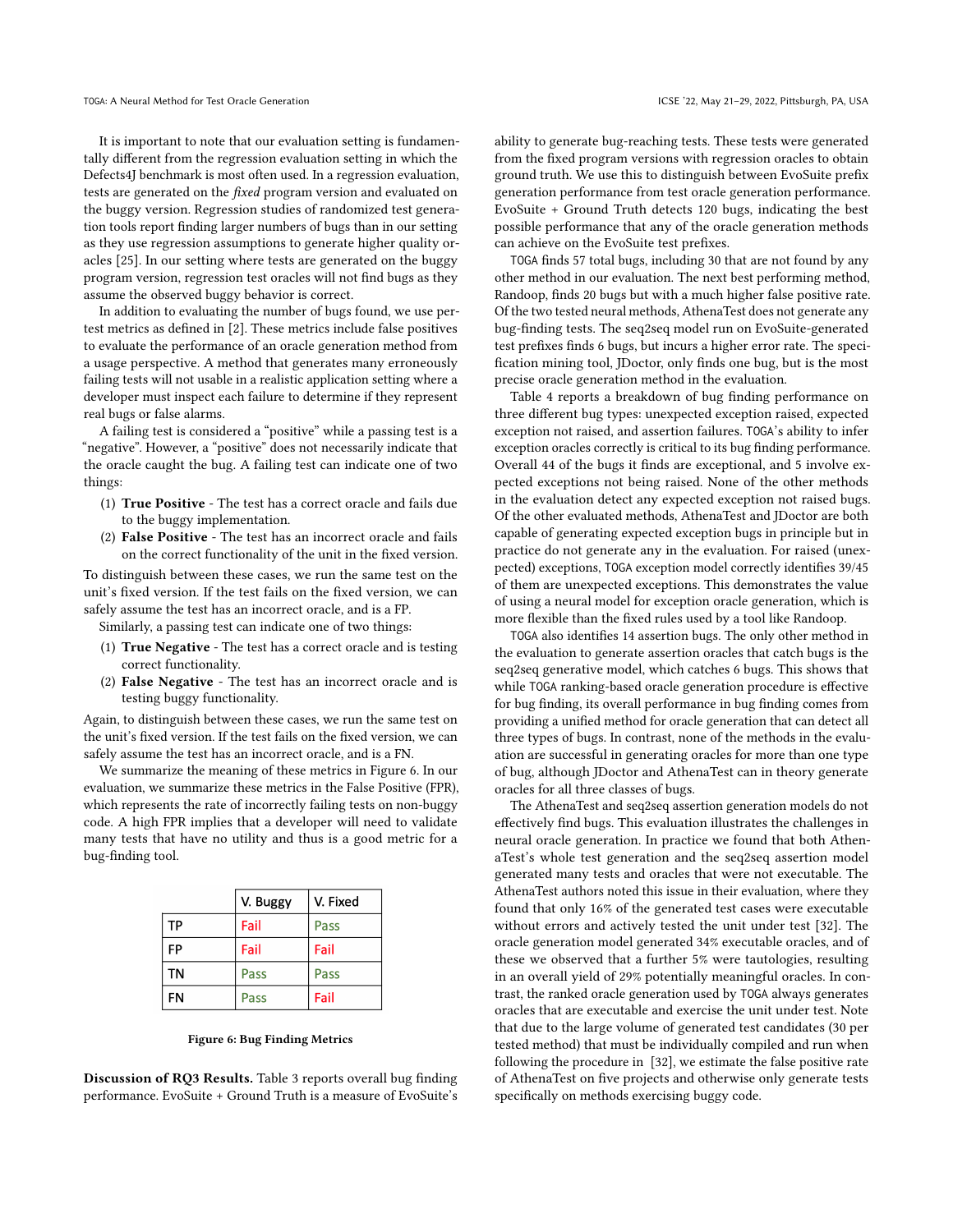It is important to note that our evaluation setting is fundamentally different from the regression evaluation setting in which the Defects4J benchmark is most often used. In a regression evaluation, tests are generated on the fixed program version and evaluated on the buggy version. Regression studies of randomized test generation tools report finding larger numbers of bugs than in our setting as they use regression assumptions to generate higher quality oracles [25]. In our setting where tests are generated on the buggy program version, regression test oracles will not find bugs as they assume the observed buggy behavior is correct.

In addition to evaluating the number of bugs found, we use pertest metrics as defined in [2]. These metrics include false positives to evaluate the performance of an oracle generation method from a usage perspective. A method that generates many erroneously failing tests will not usable in a realistic application setting where a developer must inspect each failure to determine if they represent real bugs or false alarms.

A failing test is considered a "positive" while a passing test is a "negative". However, a "positive" does not necessarily indicate that the oracle caught the bug. A failing test can indicate one of two things:

- (1) True Positive The test has a correct oracle and fails due to the buggy implementation.
- (2) False Positive The test has an incorrect oracle and fails on the correct functionality of the unit in the fixed version.

To distinguish between these cases, we run the same test on the unit's fixed version. If the test fails on the fixed version, we can safely assume the test has an incorrect oracle, and is a FP.

Similarly, a passing test can indicate one of two things:

- (1) True Negative The test has a correct oracle and is testing correct functionality.
- (2) False Negative The test has an incorrect oracle and is testing buggy functionality.

Again, to distinguish between these cases, we run the same test on the unit's fixed version. If the test fails on the fixed version, we can safely assume the test has an incorrect oracle, and is a FN.

We summarize the meaning of these metrics in Figure 6. In our evaluation, we summarize these metrics in the False Positive (FPR), which represents the rate of incorrectly failing tests on non-buggy code. A high FPR implies that a developer will need to validate many tests that have no utility and thus is a good metric for a bug-finding tool.

|    | V. Buggy | V. Fixed |
|----|----------|----------|
| TP | Fail     | Pass     |
| FP | Fail     | Fail     |
| ΤN | Pass     | Pass     |
| FN | Pass     | Fail     |

#### Figure 6: Bug Finding Metrics

Discussion of RQ3 Results. Table 3 reports overall bug finding performance. EvoSuite + Ground Truth is a measure of EvoSuite's ability to generate bug-reaching tests. These tests were generated from the fixed program versions with regression oracles to obtain ground truth. We use this to distinguish between EvoSuite prefix generation performance from test oracle generation performance. EvoSuite + Ground Truth detects 120 bugs, indicating the best possible performance that any of the oracle generation methods can achieve on the EvoSuite test prefixes.

TOGA finds 57 total bugs, including 30 that are not found by any other method in our evaluation. The next best performing method, Randoop, finds 20 bugs but with a much higher false positive rate. Of the two tested neural methods, AthenaTest does not generate any bug-finding tests. The seq2seq model run on EvoSuite-generated test prefixes finds 6 bugs, but incurs a higher error rate. The specification mining tool, JDoctor, only finds one bug, but is the most precise oracle generation method in the evaluation.

Table 4 reports a breakdown of bug finding performance on three different bug types: unexpected exception raised, expected exception not raised, and assertion failures. TOGA's ability to infer exception oracles correctly is critical to its bug finding performance. Overall 44 of the bugs it finds are exceptional, and 5 involve expected exceptions not being raised. None of the other methods in the evaluation detect any expected exception not raised bugs. Of the other evaluated methods, AthenaTest and JDoctor are both capable of generating expected exception bugs in principle but in practice do not generate any in the evaluation. For raised (unexpected) exceptions, TOGA exception model correctly identifies 39/45 of them are unexpected exceptions. This demonstrates the value of using a neural model for exception oracle generation, which is more flexible than the fixed rules used by a tool like Randoop.

TOGA also identifies 14 assertion bugs. The only other method in the evaluation to generate assertion oracles that catch bugs is the seq2seq generative model, which catches 6 bugs. This shows that while TOGA ranking-based oracle generation procedure is effective for bug finding, its overall performance in bug finding comes from providing a unified method for oracle generation that can detect all three types of bugs. In contrast, none of the methods in the evaluation are successful in generating oracles for more than one type of bug, although JDoctor and AthenaTest can in theory generate oracles for all three classes of bugs.

The AthenaTest and seq2seq assertion generation models do not effectively find bugs. This evaluation illustrates the challenges in neural oracle generation. In practice we found that both AthenaTest's whole test generation and the seq2seq assertion model generated many tests and oracles that were not executable. The AthenaTest authors noted this issue in their evaluation, where they found that only 16% of the generated test cases were executable without errors and actively tested the unit under test [32]. The oracle generation model generated 34% executable oracles, and of these we observed that a further 5% were tautologies, resulting in an overall yield of 29% potentially meaningful oracles. In contrast, the ranked oracle generation used by TOGA always generates oracles that are executable and exercise the unit under test. Note that due to the large volume of generated test candidates (30 per tested method) that must be individually compiled and run when following the procedure in [32], we estimate the false positive rate of AthenaTest on five projects and otherwise only generate tests specifically on methods exercising buggy code.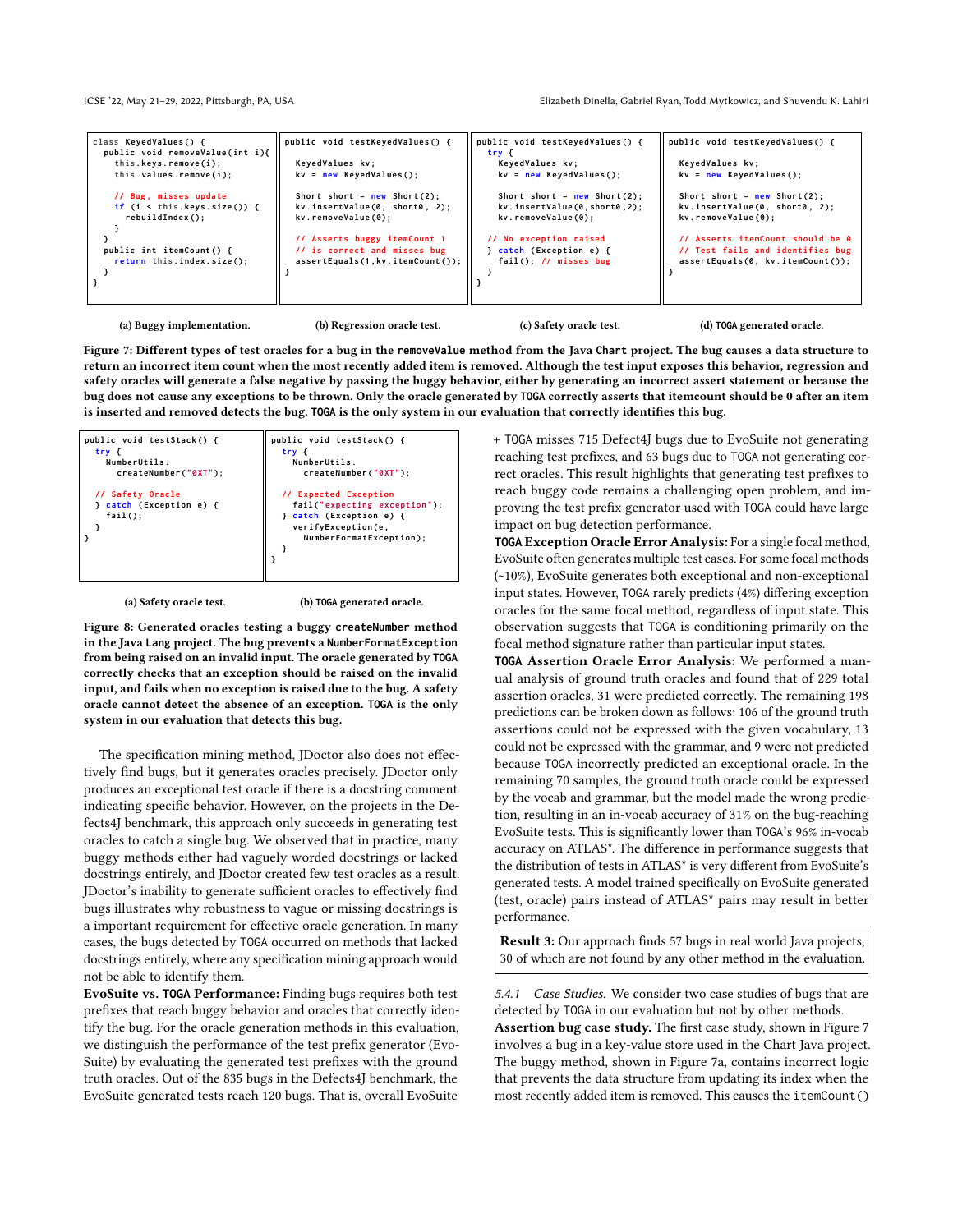| class KeyedValues() {<br>public void removeValue(int i){ | public void testKeyedValues() {                                     | public void testKeyedValues() {<br>try {                      | public void testKeyedValues() {                                         |
|----------------------------------------------------------|---------------------------------------------------------------------|---------------------------------------------------------------|-------------------------------------------------------------------------|
| this.keys.remove(i);                                     | KeyedValues kv;                                                     | KeyedValues kv;                                               | KeyedValues kv;                                                         |
| this.values.remove(i);                                   | $kv = new KeyedValues$ ();                                          | $kv = new KeyedValues$ ();                                    | $kv = new KeyedValues():$                                               |
| // Bug, misses update<br>if $(i \lt this.keys.size())$ { | Short short = $new Short(2)$ ;<br>kv.insertValue(0, short0, 2);     | Short short = $new Short(2)$ ;<br>kv.insertValue(0,short0,2); | Short short = $new Short(2)$ ;<br>kv.insertValue(0, short0, 2);         |
| rebuildIndex();                                          | kv.removeValue(0);                                                  | kv.removeValue(0);                                            | kv.removeValue(0);                                                      |
|                                                          | // Asserts buggy itemCount 1                                        | // No exception raised                                        | // Asserts itemCount should be 0                                        |
| public int itemCount() {<br>return this.index.size();    | // is correct and misses bug<br>$assertEquals(1, kv.itemCount())$ ; | } catch (Exception e) {<br>$fail()$ ; // misses bug           | // Test fails and identifies bug<br>$assertEquals(0, kv.itemCount())$ ; |
|                                                          |                                                                     |                                                               |                                                                         |
|                                                          |                                                                     |                                                               |                                                                         |

(a) Buggy implementation.

(b) Regression oracle test.

(c) Safety oracle test.

(d) **TOGA** generated oracle.

Figure 7: Different types of test oracles for a bug in the **removeValue** method from the Java **Chart** project. The bug causes a data structure to return an incorrect item count when the most recently added item is removed. Although the test input exposes this behavior, regression and safety oracles will generate a false negative by passing the buggy behavior, either by generating an incorrect assert statement or because the bug does not cause any exceptions to be thrown. Only the oracle generated by **TOGA** correctly asserts that itemcount should be 0 after an item is inserted and removed detects the bug. **TOGA** is the only system in our evaluation that correctly identifies this bug.



(a) Safety oracle test.

(b) **TOGA** generated oracle.

Figure 8: Generated oracles testing a buggy **createNumber** method in the Java **Lang** project. The bug prevents a **NumberFormatException** from being raised on an invalid input. The oracle generated by **TOGA** correctly checks that an exception should be raised on the invalid input, and fails when no exception is raised due to the bug. A safety oracle cannot detect the absence of an exception. **TOGA** is the only system in our evaluation that detects this bug.

The specification mining method, JDoctor also does not effectively find bugs, but it generates oracles precisely. JDoctor only produces an exceptional test oracle if there is a docstring comment indicating specific behavior. However, on the projects in the Defects4J benchmark, this approach only succeeds in generating test oracles to catch a single bug. We observed that in practice, many buggy methods either had vaguely worded docstrings or lacked docstrings entirely, and JDoctor created few test oracles as a result. JDoctor's inability to generate sufficient oracles to effectively find bugs illustrates why robustness to vague or missing docstrings is a important requirement for effective oracle generation. In many cases, the bugs detected by TOGA occurred on methods that lacked docstrings entirely, where any specification mining approach would not be able to identify them.

EvoSuite vs. **TOGA** Performance: Finding bugs requires both test prefixes that reach buggy behavior and oracles that correctly identify the bug. For the oracle generation methods in this evaluation, we distinguish the performance of the test prefix generator (Evo-Suite) by evaluating the generated test prefixes with the ground truth oracles. Out of the 835 bugs in the Defects4J benchmark, the EvoSuite generated tests reach 120 bugs. That is, overall EvoSuite

+ TOGA misses 715 Defect4J bugs due to EvoSuite not generating reaching test prefixes, and 63 bugs due to TOGA not generating correct oracles. This result highlights that generating test prefixes to reach buggy code remains a challenging open problem, and improving the test prefix generator used with TOGA could have large impact on bug detection performance.

**TOGA** Exception Oracle Error Analysis: For a single focal method, EvoSuite often generates multiple test cases. For some focal methods (~10%), EvoSuite generates both exceptional and non-exceptional input states. However, TOGA rarely predicts (4%) differing exception oracles for the same focal method, regardless of input state. This observation suggests that TOGA is conditioning primarily on the focal method signature rather than particular input states.

**TOGA** Assertion Oracle Error Analysis: We performed a manual analysis of ground truth oracles and found that of 229 total assertion oracles, 31 were predicted correctly. The remaining 198 predictions can be broken down as follows: 106 of the ground truth assertions could not be expressed with the given vocabulary, 13 could not be expressed with the grammar, and 9 were not predicted because TOGA incorrectly predicted an exceptional oracle. In the remaining 70 samples, the ground truth oracle could be expressed by the vocab and grammar, but the model made the wrong prediction, resulting in an in-vocab accuracy of 31% on the bug-reaching EvoSuite tests. This is significantly lower than TOGA's 96% in-vocab accuracy on ATLAS\*. The difference in performance suggests that the distribution of tests in ATLAS\* is very different from EvoSuite's generated tests. A model trained specifically on EvoSuite generated (test, oracle) pairs instead of ATLAS\* pairs may result in better performance.

Result 3: Our approach finds 57 bugs in real world Java projects, 30 of which are not found by any other method in the evaluation.

5.4.1 Case Studies. We consider two case studies of bugs that are detected by TOGA in our evaluation but not by other methods. Assertion bug case study. The first case study, shown in Figure 7 involves a bug in a key-value store used in the Chart Java project. The buggy method, shown in Figure 7a, contains incorrect logic that prevents the data structure from updating its index when the most recently added item is removed. This causes the itemCount()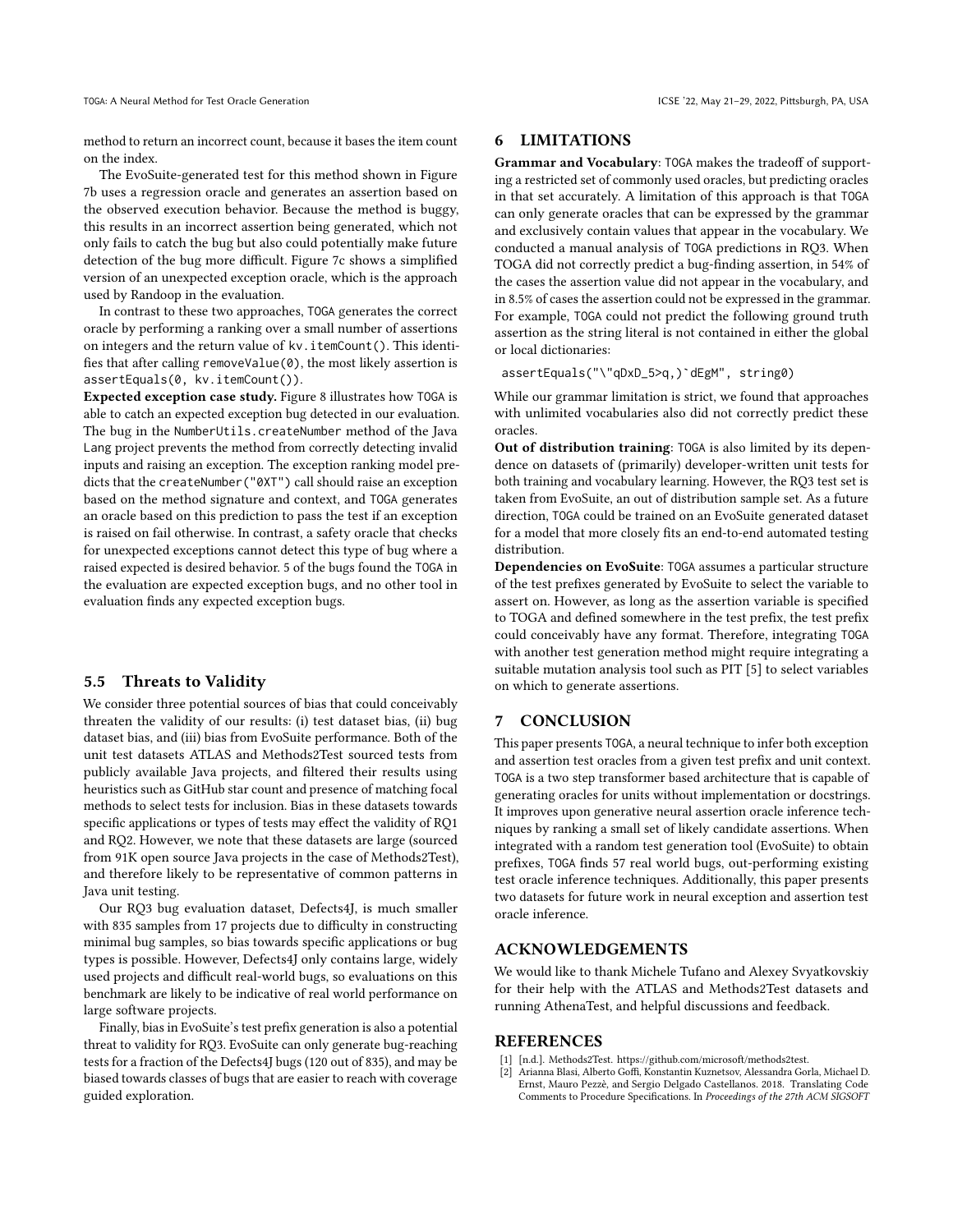method to return an incorrect count, because it bases the item count on the index.

The EvoSuite-generated test for this method shown in Figure 7b uses a regression oracle and generates an assertion based on the observed execution behavior. Because the method is buggy, this results in an incorrect assertion being generated, which not only fails to catch the bug but also could potentially make future detection of the bug more difficult. Figure 7c shows a simplified version of an unexpected exception oracle, which is the approach used by Randoop in the evaluation.

In contrast to these two approaches, TOGA generates the correct oracle by performing a ranking over a small number of assertions on integers and the return value of kv.itemCount(). This identifies that after calling removeValue(0), the most likely assertion is assertEquals(0, kv.itemCount()).

Expected exception case study. Figure 8 illustrates how TOGA is able to catch an expected exception bug detected in our evaluation. The bug in the NumberUtils.createNumber method of the Java Lang project prevents the method from correctly detecting invalid inputs and raising an exception. The exception ranking model predicts that the createNumber("0XT") call should raise an exception based on the method signature and context, and TOGA generates an oracle based on this prediction to pass the test if an exception is raised on fail otherwise. In contrast, a safety oracle that checks for unexpected exceptions cannot detect this type of bug where a raised expected is desired behavior. 5 of the bugs found the TOGA in the evaluation are expected exception bugs, and no other tool in evaluation finds any expected exception bugs.

### 5.5 Threats to Validity

We consider three potential sources of bias that could conceivably threaten the validity of our results: (i) test dataset bias, (ii) bug dataset bias, and (iii) bias from EvoSuite performance. Both of the unit test datasets ATLAS and Methods2Test sourced tests from publicly available Java projects, and filtered their results using heuristics such as GitHub star count and presence of matching focal methods to select tests for inclusion. Bias in these datasets towards specific applications or types of tests may effect the validity of RQ1 and RQ2. However, we note that these datasets are large (sourced from 91K open source Java projects in the case of Methods2Test), and therefore likely to be representative of common patterns in Java unit testing.

Our RQ3 bug evaluation dataset, Defects4J, is much smaller with 835 samples from 17 projects due to difficulty in constructing minimal bug samples, so bias towards specific applications or bug types is possible. However, Defects4J only contains large, widely used projects and difficult real-world bugs, so evaluations on this benchmark are likely to be indicative of real world performance on large software projects.

Finally, bias in EvoSuite's test prefix generation is also a potential threat to validity for RQ3. EvoSuite can only generate bug-reaching tests for a fraction of the Defects4J bugs (120 out of 835), and may be biased towards classes of bugs that are easier to reach with coverage guided exploration.

# 6 LIMITATIONS

Grammar and Vocabulary: TOGA makes the tradeoff of supporting a restricted set of commonly used oracles, but predicting oracles in that set accurately. A limitation of this approach is that TOGA can only generate oracles that can be expressed by the grammar and exclusively contain values that appear in the vocabulary. We conducted a manual analysis of TOGA predictions in RQ3. When TOGA did not correctly predict a bug-finding assertion, in 54% of the cases the assertion value did not appear in the vocabulary, and in 8.5% of cases the assertion could not be expressed in the grammar. For example, TOGA could not predict the following ground truth assertion as the string literal is not contained in either the global or local dictionaries:

assertEquals("\"qDxD\_5>q,)`dEgM", string0)

While our grammar limitation is strict, we found that approaches with unlimited vocabularies also did not correctly predict these oracles.

Out of distribution training: TOGA is also limited by its dependence on datasets of (primarily) developer-written unit tests for both training and vocabulary learning. However, the RQ3 test set is taken from EvoSuite, an out of distribution sample set. As a future direction, TOGA could be trained on an EvoSuite generated dataset for a model that more closely fits an end-to-end automated testing distribution.

Dependencies on EvoSuite: TOGA assumes a particular structure of the test prefixes generated by EvoSuite to select the variable to assert on. However, as long as the assertion variable is specified to TOGA and defined somewhere in the test prefix, the test prefix could conceivably have any format. Therefore, integrating TOGA with another test generation method might require integrating a suitable mutation analysis tool such as PIT [5] to select variables on which to generate assertions.

### 7 CONCLUSION

This paper presents TOGA, a neural technique to infer both exception and assertion test oracles from a given test prefix and unit context. TOGA is a two step transformer based architecture that is capable of generating oracles for units without implementation or docstrings. It improves upon generative neural assertion oracle inference techniques by ranking a small set of likely candidate assertions. When integrated with a random test generation tool (EvoSuite) to obtain prefixes, TOGA finds 57 real world bugs, out-performing existing test oracle inference techniques. Additionally, this paper presents two datasets for future work in neural exception and assertion test oracle inference.

# ACKNOWLEDGEMENTS

We would like to thank Michele Tufano and Alexey Svyatkovskiy for their help with the ATLAS and Methods2Test datasets and running AthenaTest, and helpful discussions and feedback.

# REFERENCES

- [1] [n.d.]. Methods2Test. https://github.com/microsoft/methods2test.
- [2] Arianna Blasi, Alberto Goffi, Konstantin Kuznetsov, Alessandra Gorla, Michael D. Ernst, Mauro Pezzè, and Sergio Delgado Castellanos. 2018. Translating Code Comments to Procedure Specifications. In Proceedings of the 27th ACM SIGSOFT